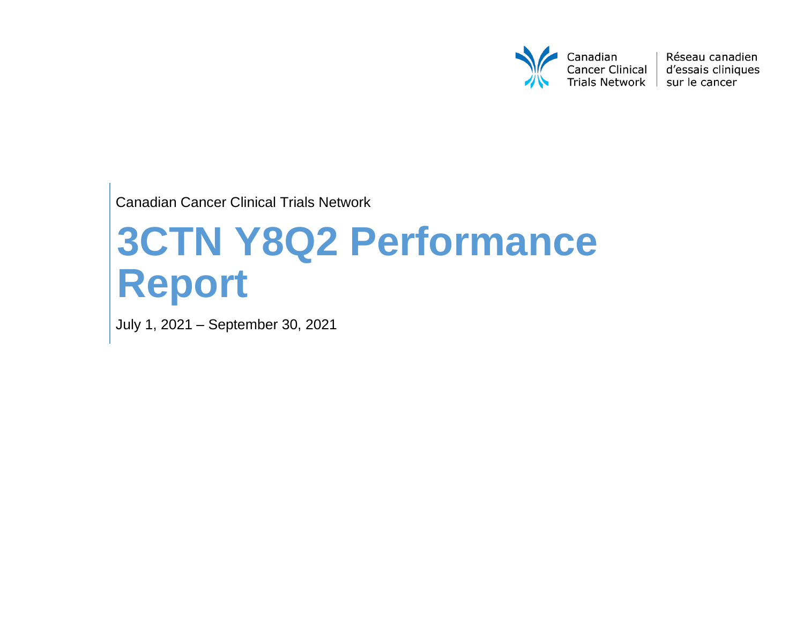

Réseau canadien d'essais cliniques

Canadian Cancer Clinical Trials Network

# **3CTN Y8Q2 Performance Report**

July 1, 2021 – September 30, 2021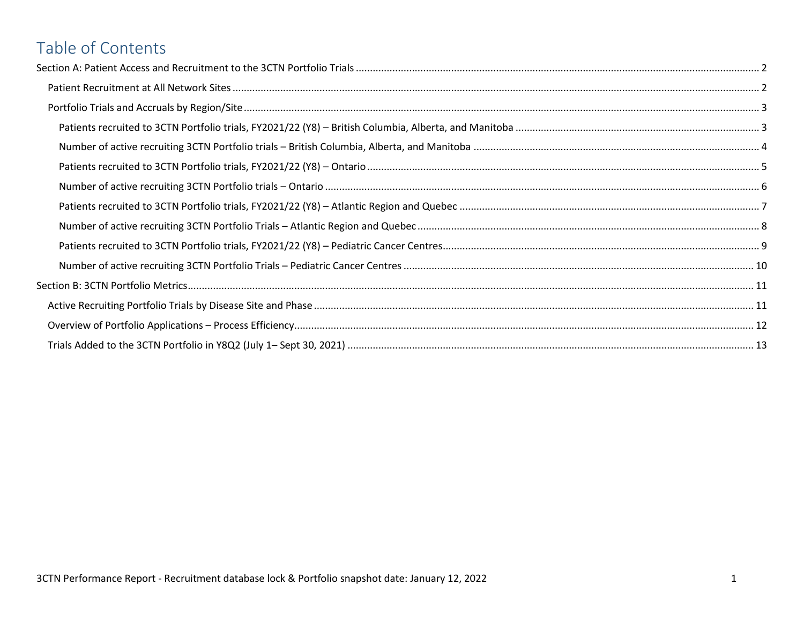# Table of Contents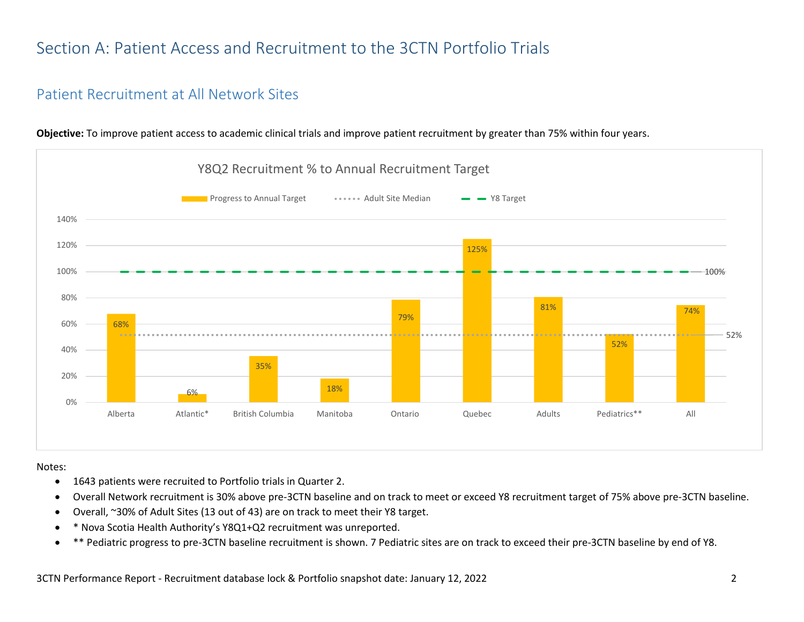# <span id="page-2-0"></span>Section A: Patient Access and Recruitment to the 3CTN Portfolio Trials

#### <span id="page-2-1"></span>Patient Recruitment at All Network Sites



**Objective:** To improve patient access to academic clinical trials and improve patient recruitment by greater than 75% within four years.

Notes:

- 1643 patients were recruited to Portfolio trials in Quarter 2.
- Overall Network recruitment is 30% above pre-3CTN baseline and on track to meet or exceed Y8 recruitment target of 75% above pre-3CTN baseline.
- Overall, ~30% of Adult Sites (13 out of 43) are on track to meet their Y8 target.
- \* Nova Scotia Health Authority's Y8Q1+Q2 recruitment was unreported.
- \*\* Pediatric progress to pre-3CTN baseline recruitment is shown. 7 Pediatric sites are on track to exceed their pre-3CTN baseline by end of Y8.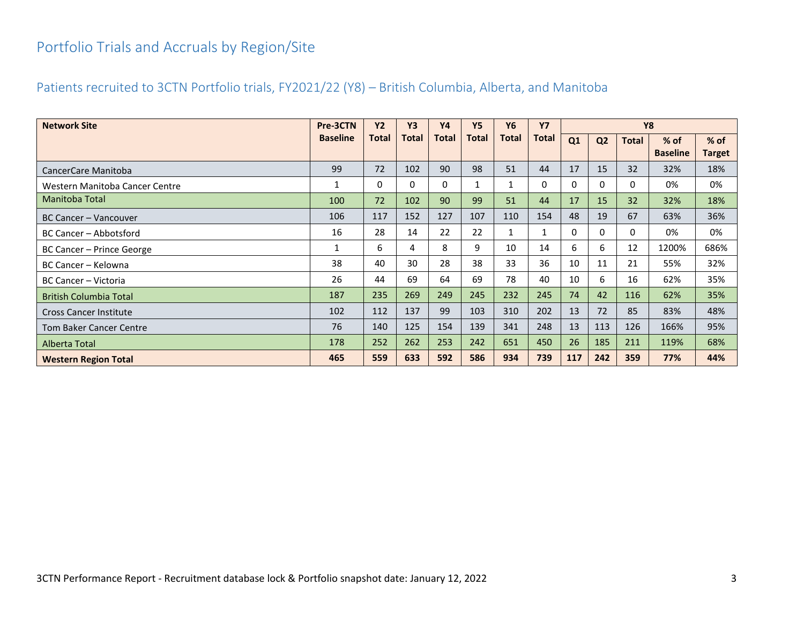# <span id="page-3-0"></span>Portfolio Trials and Accruals by Region/Site

#### <span id="page-3-1"></span>Patients recruited to 3CTN Portfolio trials, FY2021/22 (Y8) – British Columbia, Alberta, and Manitoba

| <b>Network Site</b>            | Pre-3CTN        | <b>Y2</b>    | <b>Y3</b>    | <b>Y4</b> | <b>Y5</b>    | <b>Y6</b>    | <b>Y7</b>    | <b>Y8</b>    |                |              |                         |                         |
|--------------------------------|-----------------|--------------|--------------|-----------|--------------|--------------|--------------|--------------|----------------|--------------|-------------------------|-------------------------|
|                                | <b>Baseline</b> | <b>Total</b> | <b>Total</b> | Total     | <b>Total</b> | Total        | <b>Total</b> | Q1           | Q <sub>2</sub> | <b>Total</b> | % of<br><b>Baseline</b> | $%$ of<br><b>Target</b> |
| CancerCare Manitoba            | 99              | 72           | 102          | 90        | 98           | 51           | 44           | 17           | 15             | 32           | 32%                     | 18%                     |
| Western Manitoba Cancer Centre | 1               | 0            | 0            | 0         |              | 1            | 0            | $\mathbf{0}$ | $\mathbf{0}$   | 0            | 0%                      | 0%                      |
| Manitoba Total                 | 100             | 72           | 102          | 90        | 99           | 51           | 44           | 17           | 15             | 32           | 32%                     | 18%                     |
| <b>BC Cancer - Vancouver</b>   | 106             | 117          | 152          | 127       | 107          | 110          | 154          | 48           | 19             | 67           | 63%                     | 36%                     |
| BC Cancer - Abbotsford         | 16              | 28           | 14           | 22        | 22           | $\mathbf{1}$ | 1            | 0            | 0              | $\mathbf{0}$ | 0%                      | 0%                      |
| BC Cancer - Prince George      | 1               | 6            | 4            | 8         | 9            | 10           | 14           | 6            | 6              | 12           | 1200%                   | 686%                    |
| BC Cancer - Kelowna            | 38              | 40           | 30           | 28        | 38           | 33           | 36           | 10           | 11             | 21           | 55%                     | 32%                     |
| BC Cancer – Victoria           | 26              | 44           | 69           | 64        | 69           | 78           | 40           | 10           | 6              | 16           | 62%                     | 35%                     |
| <b>British Columbia Total</b>  | 187             | 235          | 269          | 249       | 245          | 232          | 245          | 74           | 42             | 116          | 62%                     | 35%                     |
| <b>Cross Cancer Institute</b>  | 102             | 112          | 137          | 99        | 103          | 310          | 202          | 13           | 72             | 85           | 83%                     | 48%                     |
| <b>Tom Baker Cancer Centre</b> | 76              | 140          | 125          | 154       | 139          | 341          | 248          | 13           | 113            | 126          | 166%                    | 95%                     |
| Alberta Total                  | 178             | 252          | 262          | 253       | 242          | 651          | 450          | 26           | 185            | 211          | 119%                    | 68%                     |
| <b>Western Region Total</b>    | 465             | 559          | 633          | 592       | 586          | 934          | 739          | 117          | 242            | 359          | 77%                     | 44%                     |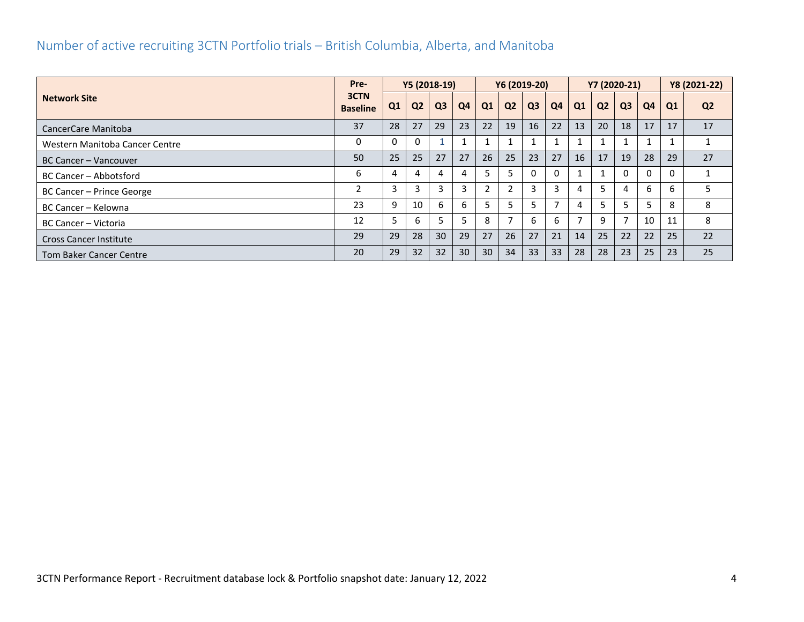#### <span id="page-4-0"></span>Number of active recruiting 3CTN Portfolio trials – British Columbia, Alberta, and Manitoba

|                                | Pre-                    |                | Y5 (2018-19)   |                |    |                | Y6 (2019-20)             |                |    |              |                | Y7 (2020-21)   |    |    | Y8 (2021-22)   |
|--------------------------------|-------------------------|----------------|----------------|----------------|----|----------------|--------------------------|----------------|----|--------------|----------------|----------------|----|----|----------------|
| <b>Network Site</b>            | 3CTN<br><b>Baseline</b> | Q <sub>1</sub> | Q <sub>2</sub> | Q <sub>3</sub> | Q4 | Q1             | Q <sub>2</sub>           | Q <sub>3</sub> | Q4 | Q1           | Q <sub>2</sub> | Q <sub>3</sub> | Q4 | Q1 | Q <sub>2</sub> |
| CancerCare Manitoba            | 37                      | 28             | 27             | 29             | 23 | 22             | 19                       | 16             | 22 | 13           | 20             | 18             | 17 | 17 | 17             |
| Western Manitoba Cancer Centre | 0                       | 0              | 0              |                |    |                |                          |                |    |              |                |                |    |    |                |
| BC Cancer - Vancouver          | 50                      | 25             | 25             | 27             | 27 | 26             | 25                       | 23             | 27 | 16           | 17             | 19             | 28 | 29 | 27             |
| BC Cancer - Abbotsford         | 6                       | 4              | 4              | 4              | 4  | 5              |                          | $\Omega$       | 0  | $\mathbf{1}$ |                | $\Omega$       |    | 0  |                |
| BC Cancer – Prince George      | 2                       | 3              | 3              | 3              | 3  | $\overline{2}$ |                          | 3              |    | 4            |                | 4              | h  | 6  |                |
| BC Cancer - Kelowna            | 23                      | 9              | 10             | 6              | 6  | 5              |                          |                |    | 4            |                |                |    | 8  | 8              |
| BC Cancer - Victoria           | 12                      | 5              | 6.             |                |    | 8              | $\overline{\phantom{a}}$ | 6              | 6  |              | q              | 7              | 10 | 11 | 8              |
| <b>Cross Cancer Institute</b>  | 29                      | 29             | 28             | 30             | 29 | 27             | 26                       | 27             | 21 | 14           | 25             | 22             | 22 | 25 | 22             |
| <b>Tom Baker Cancer Centre</b> | 20                      | 29             | 32             | 32             | 30 | 30             | 34                       | 33             | 33 | 28           | 28             | 23             | 25 | 23 | 25             |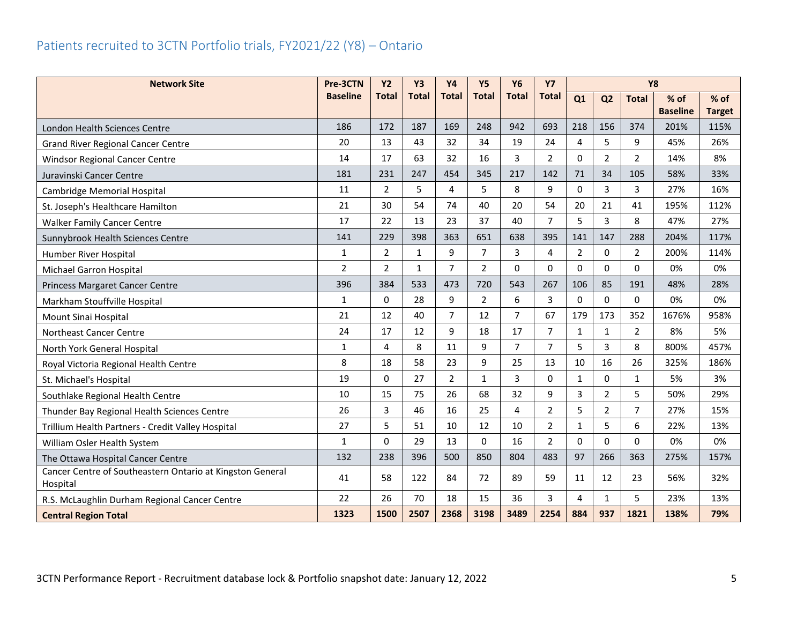## <span id="page-5-0"></span>Patients recruited to 3CTN Portfolio trials, FY2021/22 (Y8) – Ontario

| <b>Network Site</b>                                                   | Pre-3CTN        | <b>Y2</b>      | <b>Y3</b>    | <b>Y4</b>      | <b>Y5</b>      | <b>Y6</b>      | <b>Y7</b>      |              |                |                |                 |               |
|-----------------------------------------------------------------------|-----------------|----------------|--------------|----------------|----------------|----------------|----------------|--------------|----------------|----------------|-----------------|---------------|
|                                                                       | <b>Baseline</b> | <b>Total</b>   | <b>Total</b> | <b>Total</b>   | <b>Total</b>   | <b>Total</b>   | <b>Total</b>   | Q1           | Q <sub>2</sub> | <b>Total</b>   | $%$ of          | $%$ of        |
|                                                                       |                 |                |              |                |                |                |                |              |                |                | <b>Baseline</b> | <b>Target</b> |
| London Health Sciences Centre                                         | 186             | 172            | 187          | 169            | 248            | 942            | 693            | 218          | 156            | 374            | 201%            | 115%          |
| <b>Grand River Regional Cancer Centre</b>                             | 20              | 13             | 43           | 32             | 34             | 19             | 24             | 4            | 5              | 9              | 45%             | 26%           |
| <b>Windsor Regional Cancer Centre</b>                                 | 14              | 17             | 63           | 32             | 16             | $\overline{3}$ | $\overline{2}$ | $\Omega$     | $\overline{2}$ | 2              | 14%             | 8%            |
| Juravinski Cancer Centre                                              | 181             | 231            | 247          | 454            | 345            | 217            | 142            | 71           | 34             | 105            | 58%             | 33%           |
| Cambridge Memorial Hospital                                           | 11              | $\overline{2}$ | 5            | 4              | 5              | 8              | 9              | $\Omega$     | 3              | 3              | 27%             | 16%           |
| St. Joseph's Healthcare Hamilton                                      | 21              | 30             | 54           | 74             | 40             | 20             | 54             | 20           | 21             | 41             | 195%            | 112%          |
| <b>Walker Family Cancer Centre</b>                                    | 17              | 22             | 13           | 23             | 37             | 40             | $\overline{7}$ | 5            | 3              | 8              | 47%             | 27%           |
| Sunnybrook Health Sciences Centre                                     | 141             | 229            | 398          | 363            | 651            | 638            | 395            | 141          | 147            | 288            | 204%            | 117%          |
| Humber River Hospital                                                 | $\mathbf{1}$    | $\overline{2}$ | $\mathbf{1}$ | 9              | $\overline{7}$ | 3              | 4              | 2            | $\Omega$       | 2              | 200%            | 114%          |
| Michael Garron Hospital                                               | $\overline{2}$  | $\overline{2}$ | $\mathbf{1}$ | $\overline{7}$ | $\overline{2}$ | $\Omega$       | $\mathbf{0}$   | $\Omega$     | $\mathbf{0}$   | $\Omega$       | 0%              | 0%            |
| Princess Margaret Cancer Centre                                       | 396             | 384            | 533          | 473            | 720            | 543            | 267            | 106          | 85             | 191            | 48%             | 28%           |
| Markham Stouffville Hospital                                          | $\mathbf{1}$    | $\Omega$       | 28           | 9              | $\overline{2}$ | 6              | 3              | $\Omega$     | $\mathbf{0}$   | $\Omega$       | 0%              | 0%            |
| Mount Sinai Hospital                                                  | 21              | 12             | 40           | $\overline{7}$ | 12             | 7              | 67             | 179          | 173            | 352            | 1676%           | 958%          |
| Northeast Cancer Centre                                               | 24              | 17             | 12           | 9              | 18             | 17             | $\overline{7}$ | $\mathbf{1}$ | $\mathbf{1}$   | 2              | 8%              | 5%            |
| North York General Hospital                                           | $\mathbf{1}$    | 4              | 8            | 11             | 9              | $\overline{7}$ | $\overline{7}$ | 5            | 3              | 8              | 800%            | 457%          |
| Royal Victoria Regional Health Centre                                 | 8               | 18             | 58           | 23             | 9              | 25             | 13             | 10           | 16             | 26             | 325%            | 186%          |
| St. Michael's Hospital                                                | 19              | 0              | 27           | $\overline{2}$ | $\mathbf{1}$   | $\overline{3}$ | $\Omega$       | $\mathbf{1}$ | $\Omega$       | $\mathbf{1}$   | 5%              | 3%            |
| Southlake Regional Health Centre                                      | 10              | 15             | 75           | 26             | 68             | 32             | 9              | 3            | $\overline{2}$ | 5              | 50%             | 29%           |
| Thunder Bay Regional Health Sciences Centre                           | 26              | 3              | 46           | 16             | 25             | 4              | $\overline{2}$ | 5            | $\overline{2}$ | $\overline{7}$ | 27%             | 15%           |
| Trillium Health Partners - Credit Valley Hospital                     | 27              | 5              | 51           | 10             | 12             | 10             | $\overline{2}$ | $\mathbf{1}$ | 5              | 6              | 22%             | 13%           |
| William Osler Health System                                           | $\mathbf{1}$    | 0              | 29           | 13             | $\mathbf{0}$   | 16             | $\overline{2}$ | $\Omega$     | 0              | 0              | 0%              | 0%            |
| The Ottawa Hospital Cancer Centre                                     | 132             | 238            | 396          | 500            | 850            | 804            | 483            | 97           | 266            | 363            | 275%            | 157%          |
| Cancer Centre of Southeastern Ontario at Kingston General<br>Hospital | 41              | 58             | 122          | 84             | 72             | 89             | 59             | 11           | 12             | 23             | 56%             | 32%           |
| R.S. McLaughlin Durham Regional Cancer Centre                         | 22              | 26             | 70           | 18             | 15             | 36             | 3              | 4            | $\mathbf{1}$   | 5              | 23%             | 13%           |
| <b>Central Region Total</b>                                           | 1323            | 1500           | 2507         | 2368           | 3198           | 3489           | 2254           | 884          | 937            | 1821           | 138%            | 79%           |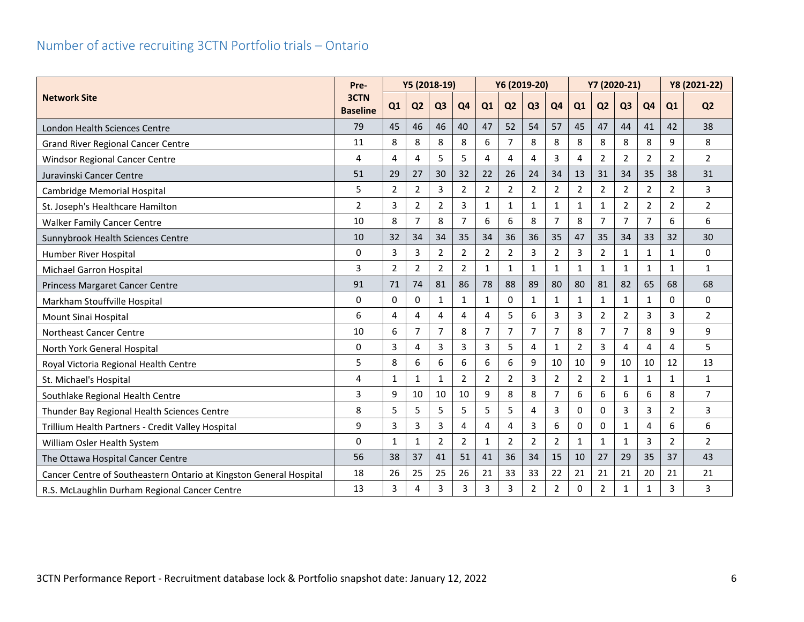#### <span id="page-6-0"></span>Number of active recruiting 3CTN Portfolio trials – Ontario

|                                                                    | Pre-                    |                | Y5 (2018-19)   |                |                |                |                | Y6 (2019-20)   |                |                | Y7 (2020-21)   |                |                |                | Y8 (2021-22)   |
|--------------------------------------------------------------------|-------------------------|----------------|----------------|----------------|----------------|----------------|----------------|----------------|----------------|----------------|----------------|----------------|----------------|----------------|----------------|
| <b>Network Site</b>                                                | 3CTN<br><b>Baseline</b> | Q1             | Q <sub>2</sub> | Q <sub>3</sub> | Q <sub>4</sub> | Q1             | Q <sub>2</sub> | Q <sub>3</sub> | Q <sub>4</sub> | Q1             | Q <sub>2</sub> | Q <sub>3</sub> | Q <sub>4</sub> | Q1             | Q <sub>2</sub> |
| London Health Sciences Centre                                      | 79                      | 45             | 46             | 46             | 40             | 47             | 52             | 54             | 57             | 45             | 47             | 44             | 41             | 42             | 38             |
| <b>Grand River Regional Cancer Centre</b>                          | 11                      | 8              | 8              | 8              | 8              | 6              | $\overline{7}$ | 8              | 8              | 8              | 8              | 8              | 8              | 9              | 8              |
| Windsor Regional Cancer Centre                                     | 4                       | 4              | 4              | 5              | 5              | 4              | 4              | 4              | 3              | 4              | 2              | $\overline{2}$ | 2              | $\overline{2}$ | $\overline{2}$ |
| Juravinski Cancer Centre                                           | 51                      | 29             | 27             | 30             | 32             | 22             | 26             | 24             | 34             | 13             | 31             | 34             | 35             | 38             | 31             |
| Cambridge Memorial Hospital                                        | 5                       | 2              | $\overline{2}$ | 3              | $\overline{2}$ | $\overline{2}$ | $\overline{2}$ | $\overline{2}$ | $\overline{2}$ | $\overline{2}$ | $\overline{2}$ | $\overline{2}$ | 2              | $\overline{2}$ | 3              |
| St. Joseph's Healthcare Hamilton                                   | $\overline{2}$          | $\overline{3}$ | $\overline{2}$ | $\overline{2}$ | 3              | $\mathbf{1}$   | $\mathbf{1}$   | $\mathbf{1}$   | $\mathbf{1}$   | $\mathbf{1}$   | $\mathbf{1}$   | $\overline{2}$ | $\overline{2}$ | $\overline{2}$ | $\overline{2}$ |
| <b>Walker Family Cancer Centre</b>                                 | 10                      | 8              | $\overline{7}$ | 8              | $\overline{7}$ | 6              | 6              | 8              | $\overline{7}$ | 8              | $\overline{7}$ | $\overline{7}$ | 7              | 6              | 6              |
| Sunnybrook Health Sciences Centre                                  | 10                      | 32             | 34             | 34             | 35             | 34             | 36             | 36             | 35             | 47             | 35             | 34             | 33             | 32             | 30             |
| Humber River Hospital                                              | $\mathbf{0}$            | $\overline{3}$ | 3              | $\overline{2}$ | $\overline{2}$ | $\overline{2}$ | $\overline{2}$ | 3              | $\overline{2}$ | 3              | $\overline{2}$ | $\mathbf{1}$   | 1              | $\mathbf{1}$   | 0              |
| Michael Garron Hospital                                            | 3                       | $\overline{2}$ | $\overline{2}$ | $\overline{2}$ | $\overline{2}$ | $\mathbf{1}$   | $\mathbf{1}$   | $\mathbf{1}$   | 1              | $\mathbf{1}$   | $\mathbf{1}$   | $\mathbf{1}$   | 1              | $\mathbf{1}$   | $\mathbf{1}$   |
| Princess Margaret Cancer Centre                                    | 91                      | 71             | 74             | 81             | 86             | 78             | 88             | 89             | 80             | 80             | 81             | 82             | 65             | 68             | 68             |
| Markham Stouffville Hospital                                       | $\Omega$                | $\Omega$       | $\mathbf{0}$   | $\mathbf{1}$   | $\mathbf{1}$   | $\mathbf{1}$   | $\Omega$       | $\mathbf{1}$   | $\mathbf{1}$   | $\mathbf{1}$   | $\mathbf{1}$   | $\mathbf{1}$   | 1              | $\mathbf{0}$   | $\Omega$       |
| Mount Sinai Hospital                                               | 6                       | $\overline{4}$ | 4              | $\overline{4}$ | 4              | 4              | 5              | 6              | 3              | 3              | $\overline{2}$ | $\overline{2}$ | 3              | 3              | $\overline{2}$ |
| Northeast Cancer Centre                                            | 10                      | 6              | $\overline{7}$ | $\overline{7}$ | 8              | $\overline{7}$ | $\overline{7}$ | $\overline{7}$ | $\overline{7}$ | 8              | 7              | $\overline{7}$ | 8              | 9              | 9              |
| North York General Hospital                                        | 0                       | $\overline{3}$ | 4              | 3              | 3              | $\overline{3}$ | 5              | $\overline{4}$ | $\mathbf{1}$   | $\overline{2}$ | 3              | 4              | 4              | 4              | 5              |
| Royal Victoria Regional Health Centre                              | 5                       | 8              | 6              | 6              | 6              | 6              | 6              | 9              | 10             | 10             | 9              | 10             | 10             | 12             | 13             |
| St. Michael's Hospital                                             | $\overline{4}$          | $\mathbf{1}$   | $\mathbf{1}$   | $\mathbf{1}$   | $\overline{2}$ | $\overline{2}$ | $\overline{2}$ | 3              | $\overline{2}$ | $\overline{2}$ | $\overline{2}$ | $\mathbf{1}$   | $\mathbf{1}$   | $\mathbf{1}$   | $\mathbf{1}$   |
| Southlake Regional Health Centre                                   | 3                       | 9              | 10             | 10             | 10             | 9              | 8              | 8              | 7              | 6              | 6              | 6              | 6              | 8              | $\overline{7}$ |
| Thunder Bay Regional Health Sciences Centre                        | 8                       | 5              | 5              | 5              | 5              | 5              | 5              | 4              | 3              | 0              | 0              | 3              | 3              | $\overline{2}$ | 3              |
| Trillium Health Partners - Credit Valley Hospital                  | 9                       | 3              | 3              | 3              | 4              | 4              | 4              | 3              | 6              | $\mathbf 0$    | $\Omega$       | $\mathbf{1}$   | 4              | 6              | 6              |
| William Osler Health System                                        | $\mathbf{0}$            | $\mathbf{1}$   | $\mathbf{1}$   | $\overline{2}$ | $\overline{2}$ | $\mathbf{1}$   | $\overline{2}$ | $\overline{2}$ | $\overline{2}$ | $\mathbf{1}$   | $\mathbf{1}$   | $\mathbf{1}$   | 3              | $\overline{2}$ | $\overline{2}$ |
| The Ottawa Hospital Cancer Centre                                  | 56                      | 38             | 37             | 41             | 51             | 41             | 36             | 34             | 15             | 10             | 27             | 29             | 35             | 37             | 43             |
| Cancer Centre of Southeastern Ontario at Kingston General Hospital | 18                      | 26             | 25             | 25             | 26             | 21             | 33             | 33             | 22             | 21             | 21             | 21             | 20             | 21             | 21             |
| R.S. McLaughlin Durham Regional Cancer Centre                      | 13                      | 3              | 4              | 3              | 3              | 3              | $\overline{3}$ | $\overline{2}$ | $\overline{2}$ | $\Omega$       | $\overline{2}$ | $\mathbf{1}$   | 1              | 3              | 3              |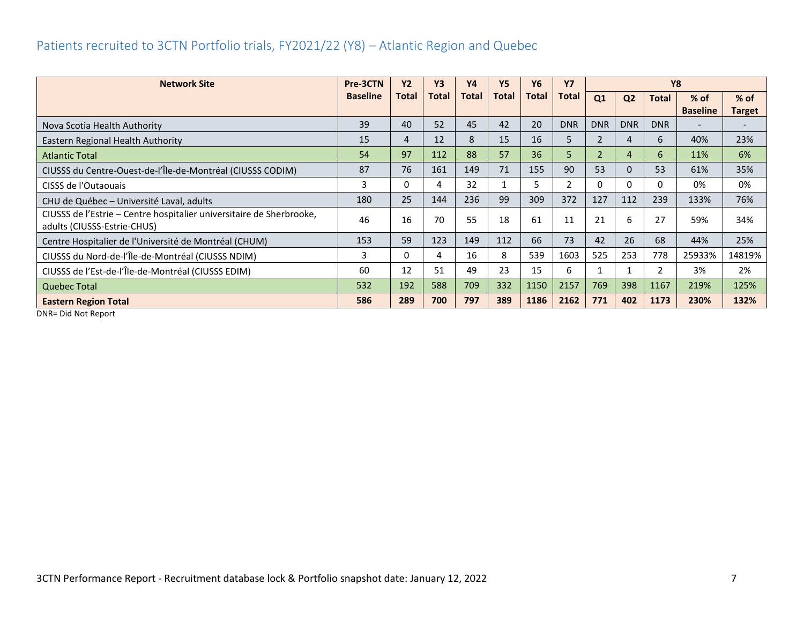#### <span id="page-7-0"></span>Patients recruited to 3CTN Portfolio trials, FY2021/22 (Y8) – Atlantic Region and Quebec

| <b>Network Site</b>                                                                                 | Pre-3CTN        | <b>Y2</b> | <b>Y3</b>    | <b>Y4</b>    | <b>Y5</b>    | Y6    | <b>Y7</b>    | <b>Y8</b>      |                |              |                 |               |
|-----------------------------------------------------------------------------------------------------|-----------------|-----------|--------------|--------------|--------------|-------|--------------|----------------|----------------|--------------|-----------------|---------------|
|                                                                                                     | <b>Baseline</b> | Total     | <b>Total</b> | <b>Total</b> | <b>Total</b> | Total | <b>Total</b> | Q1             | Q <sub>2</sub> | <b>Total</b> | $%$ of          | $%$ of        |
|                                                                                                     |                 |           |              |              |              |       |              |                |                |              | <b>Baseline</b> | <b>Target</b> |
| Nova Scotia Health Authority                                                                        | 39              | 40        | 52           | 45           | 42           | 20    | <b>DNR</b>   | <b>DNR</b>     | <b>DNR</b>     | <b>DNR</b>   |                 |               |
| Eastern Regional Health Authority                                                                   | 15              | 4         | 12           | 8            | 15           | 16    | 5            | $\overline{2}$ | 4              | 6            | 40%             | 23%           |
| <b>Atlantic Total</b>                                                                               | 54              | 97        | 112          | 88           | 57           | 36    | 5            | $\overline{2}$ | 4              | 6            | 11%             | 6%            |
| CIUSSS du Centre-Ouest-de-l'Île-de-Montréal (CIUSSS CODIM)                                          | 87              | 76        | 161          | 149          | 71           | 155   | 90           | 53             | $\Omega$       | 53           | 61%             | 35%           |
| CISSS de l'Outaouais                                                                                | 3               | 0         | 4            | 32           |              | 5     | 2            | $\Omega$       | $\Omega$       | 0            | 0%              | 0%            |
| CHU de Québec - Université Laval, adults                                                            | 180             | 25        | 144          | 236          | 99           | 309   | 372          | 127            | 112            | 239          | 133%            | 76%           |
| CIUSSS de l'Estrie - Centre hospitalier universitaire de Sherbrooke,<br>adults (CIUSSS-Estrie-CHUS) | 46              | 16        | 70           | 55           | 18           | 61    | 11           | 21             | 6              | 27           | 59%             | 34%           |
| Centre Hospitalier de l'Université de Montréal (CHUM)                                               | 153             | 59        | 123          | 149          | 112          | 66    | 73           | 42             | 26             | 68           | 44%             | 25%           |
| CIUSSS du Nord-de-l'Île-de-Montréal (CIUSSS NDIM)                                                   | 3               | 0         | 4            | 16           | 8            | 539   | 1603         | 525            | 253            | 778          | 25933%          | 14819%        |
| CIUSSS de l'Est-de-l'Île-de-Montréal (CIUSSS EDIM)                                                  | 60              | 12        | 51           | 49           | 23           | 15    | 6            |                |                | 2            | 3%              | 2%            |
| <b>Quebec Total</b>                                                                                 | 532             | 192       | 588          | 709          | 332          | 1150  | 2157         | 769            | 398            | 1167         | 219%            | 125%          |
| <b>Eastern Region Total</b>                                                                         | 586             | 289       | 700          | 797          | 389          | 1186  | 2162         | 771            | 402            | 1173         | 230%            | 132%          |

DNR= Did Not Report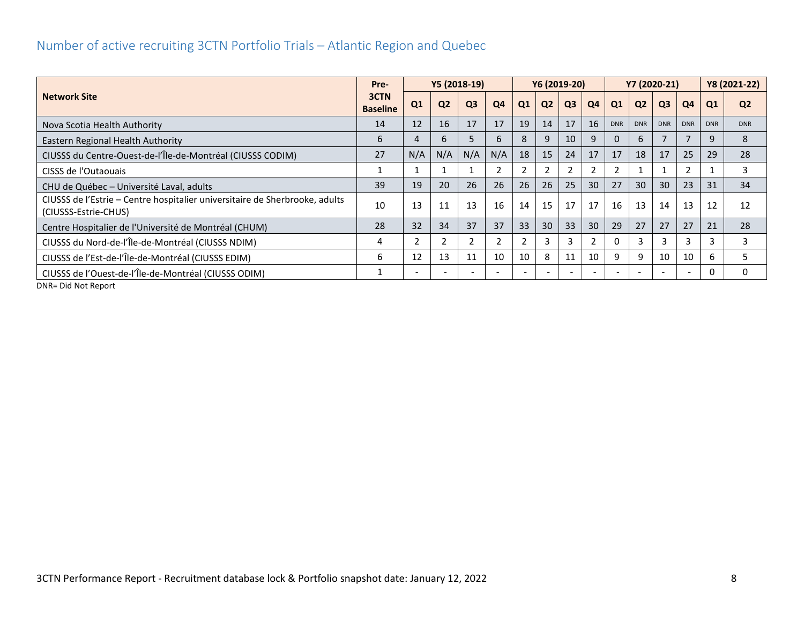#### <span id="page-8-0"></span>Number of active recruiting 3CTN Portfolio Trials – Atlantic Region and Quebec

|                                                                                                     | Pre-                    |                |                | Y5 (2018-19)   |     |    |                | Y6 (2019-20)   |                 |                | Y7 (2020-21)    |                |            |            | Y8 (2021-22)   |
|-----------------------------------------------------------------------------------------------------|-------------------------|----------------|----------------|----------------|-----|----|----------------|----------------|-----------------|----------------|-----------------|----------------|------------|------------|----------------|
| <b>Network Site</b>                                                                                 | 3CTN<br><b>Baseline</b> | Q <sub>1</sub> | Q <sub>2</sub> | Q <sub>3</sub> | Q4  | Q1 | Q <sub>2</sub> | Q <sub>3</sub> | Q <sub>4</sub>  | Q1             | Q <sub>2</sub>  | Q <sub>3</sub> | Q4         | Q1         | Q <sub>2</sub> |
| Nova Scotia Health Authority                                                                        | 14                      | 12             | 16             | 17             | 17  | 19 | 14             | 17             | 16              | <b>DNR</b>     | <b>DNR</b>      | <b>DNR</b>     | <b>DNR</b> | <b>DNR</b> | <b>DNR</b>     |
| Eastern Regional Health Authority                                                                   | 6                       |                | 6              | 5              | 6   | 8  | 9              | 10             | 9               | $\Omega$       | 6               |                |            | 9          | 8              |
| CIUSSS du Centre-Ouest-de-l'Île-de-Montréal (CIUSSS CODIM)                                          | 27                      | N/A            | N/A            | N/A            | N/A | 18 | 15             | 24             | 17              | 17             | 18              | 17             | 25         | 29         | 28             |
| CISSS de l'Outaouais                                                                                |                         |                |                |                | 2   |    | $\overline{2}$ |                |                 | $\overline{2}$ |                 |                |            |            | 3              |
| CHU de Québec - Université Laval, adults                                                            | 39                      | 19             | 20             | 26             | 26  | 26 | 26             | 25             | 30 <sup>°</sup> | 27             | 30 <sup>°</sup> | 30             | 23         | 31         | 34             |
| CIUSSS de l'Estrie – Centre hospitalier universitaire de Sherbrooke, adults<br>(CIUSSS-Estrie-CHUS) | 10                      | 13             | 11             | 13             | 16  | 14 | 15             | 17             | 17              | 16             | 13              | 14             | 13         | 12         | 12             |
| Centre Hospitalier de l'Université de Montréal (CHUM)                                               | 28                      | 32             | 34             | 37             | 37  | 33 | 30             | 33             | 30              | 29             | 27              | 27             | 27         | 21         | 28             |
| CIUSSS du Nord-de-l'Île-de-Montréal (CIUSSS NDIM)                                                   | 4                       |                |                |                |     |    | 3              |                |                 | $\Omega$       |                 | 3              |            |            | З              |
| CIUSSS de l'Est-de-l'Île-de-Montréal (CIUSSS EDIM)                                                  | 6                       | 12             | 13             | 11             | 10  | 10 | 8              | 11             | 10              | 9              | 9               | 10             | 10         | 6          |                |
| CIUSSS de l'Ouest-de-l'Île-de-Montréal (CIUSSS ODIM)                                                |                         |                |                |                |     |    |                |                |                 |                |                 |                |            | n          | 0              |
| DND- Did Not Ponort                                                                                 |                         |                |                |                |     |    |                |                |                 |                |                 |                |            |            |                |

DNR= Did Not Report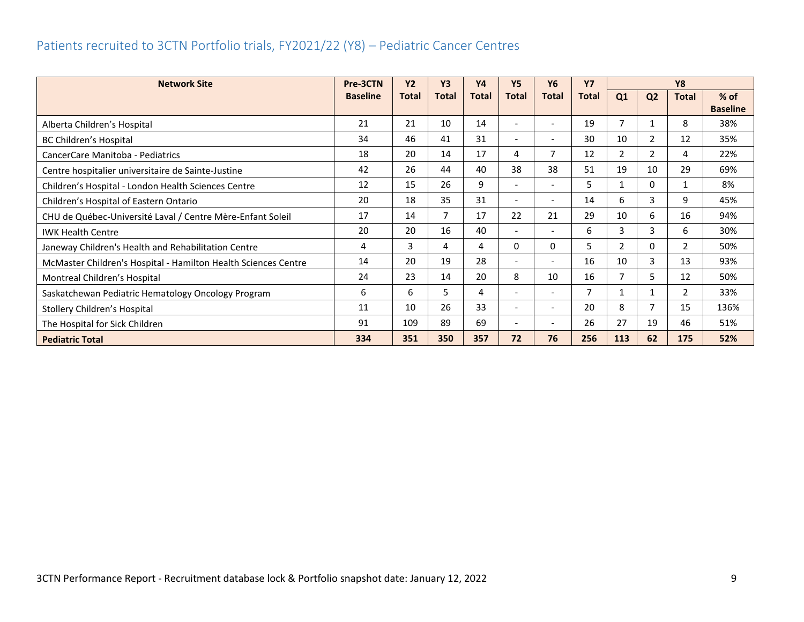## <span id="page-9-0"></span>Patients recruited to 3CTN Portfolio trials, FY2021/22 (Y8) – Pediatric Cancer Centres

| <b>Network Site</b>                                            | Pre-3CTN        | <b>Y2</b> | <b>Y3</b>    | <b>Y4</b>    | <b>Y5</b>                | <b>Y6</b>                | <b>Y7</b>    | <b>Y8</b>      |                |                |                 |
|----------------------------------------------------------------|-----------------|-----------|--------------|--------------|--------------------------|--------------------------|--------------|----------------|----------------|----------------|-----------------|
|                                                                | <b>Baseline</b> | Total     | <b>Total</b> | <b>Total</b> | <b>Total</b>             | <b>Total</b>             | <b>Total</b> | Q1             | Q <sub>2</sub> | <b>Total</b>   | $%$ of          |
|                                                                |                 |           |              |              |                          |                          |              |                |                |                | <b>Baseline</b> |
| Alberta Children's Hospital                                    | 21              | 21        | 10           | 14           | $\overline{\phantom{a}}$ | $\overline{\phantom{0}}$ | 19           | $\overline{7}$ |                | 8              | 38%             |
| BC Children's Hospital                                         | 34              | 46        | 41           | 31           | $\overline{\phantom{a}}$ | $\overline{\phantom{0}}$ | 30           | 10             | 2              | 12             | 35%             |
| CancerCare Manitoba - Pediatrics                               | 18              | 20        | 14           | 17           | 4                        | 7                        | 12           | $\overline{2}$ | 2              | 4              | 22%             |
| Centre hospitalier universitaire de Sainte-Justine             | 42              | 26        | 44           | 40           | 38                       | 38                       | 51           | 19             | 10             | 29             | 69%             |
| Children's Hospital - London Health Sciences Centre            | 12              | 15        | 26           | 9            | $\overline{\phantom{a}}$ | $\overline{\phantom{0}}$ | 5            | 1              | 0              | $\mathbf{1}$   | 8%              |
| Children's Hospital of Eastern Ontario                         | 20              | 18        | 35           | 31           | $\overline{\phantom{a}}$ | $\overline{\phantom{0}}$ | 14           | 6              | 3              | 9              | 45%             |
| CHU de Québec-Université Laval / Centre Mère-Enfant Soleil     | 17              | 14        | 7            | 17           | 22                       | 21                       | 29           | 10             | 6              | 16             | 94%             |
| <b>IWK Health Centre</b>                                       | 20              | 20        | 16           | 40           | $\overline{\phantom{0}}$ | $\overline{\phantom{0}}$ | 6            | 3              | 3              | 6              | 30%             |
| Janeway Children's Health and Rehabilitation Centre            | 4               | 3         | 4            | 4            | 0                        | 0                        | 5            | 2              | 0              | $\overline{2}$ | 50%             |
| McMaster Children's Hospital - Hamilton Health Sciences Centre | 14              | 20        | 19           | 28           | $\overline{\phantom{a}}$ | $\overline{\phantom{a}}$ | 16           | 10             | 3              | 13             | 93%             |
| Montreal Children's Hospital                                   | 24              | 23        | 14           | 20           | 8                        | 10                       | 16           | $\overline{7}$ | 5              | 12             | 50%             |
| Saskatchewan Pediatric Hematology Oncology Program             | 6               | 6         | 5.           | 4            | $\overline{\phantom{a}}$ | $\overline{\phantom{0}}$ | 7            |                | 1              | $\overline{2}$ | 33%             |
| Stollery Children's Hospital                                   | 11              | 10        | 26           | 33           | $\overline{\phantom{a}}$ | $\overline{\phantom{a}}$ | 20           | 8              | 7              | 15             | 136%            |
| The Hospital for Sick Children                                 | 91              | 109       | 89           | 69           | $\overline{\phantom{a}}$ | $\overline{\phantom{a}}$ | 26           | 27             | 19             | 46             | 51%             |
| <b>Pediatric Total</b>                                         | 334             | 351       | 350          | 357          | 72                       | 76                       | 256          | 113            | 62             | 175            | 52%             |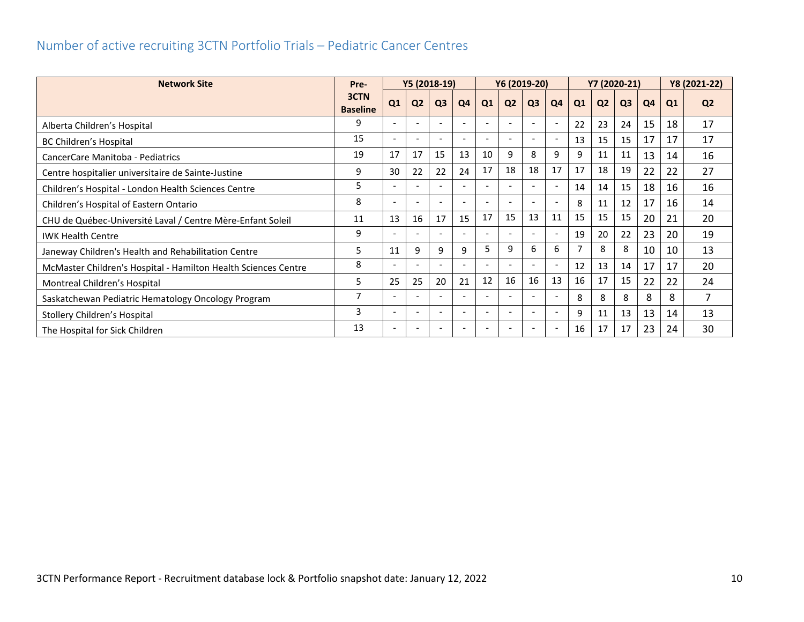#### <span id="page-10-0"></span>Number of active recruiting 3CTN Portfolio Trials – Pediatric Cancer Centres

| <b>Network Site</b>                                            | Y5 (2018-19)<br>Pre-    |                          | Y6 (2019-20)             |                          |    |                          |                | Y7 (2020-21)             | Y8 (2021-22) |                |                |                |    |    |                |
|----------------------------------------------------------------|-------------------------|--------------------------|--------------------------|--------------------------|----|--------------------------|----------------|--------------------------|--------------|----------------|----------------|----------------|----|----|----------------|
|                                                                | 3CTN<br><b>Baseline</b> | Q1                       | Q <sub>2</sub>           | Q <sub>3</sub>           | Q4 | Q1                       | Q <sub>2</sub> | Q <sub>3</sub>           | Q4           | Q1             | Q <sub>2</sub> | Q <sub>3</sub> | Q4 | Q1 | Q <sub>2</sub> |
| Alberta Children's Hospital                                    | 9                       | $\overline{\phantom{0}}$ |                          | $\overline{\phantom{a}}$ |    | $\overline{\phantom{0}}$ |                | $\overline{\phantom{a}}$ |              | 22             | 23             | 24             | 15 | 18 | 17             |
| BC Children's Hospital                                         | 15                      | $\overline{\phantom{a}}$ | $\overline{\phantom{a}}$ | $\overline{\phantom{a}}$ |    | $\overline{\phantom{a}}$ |                |                          |              | 13             | 15             | 15             | 17 | 17 | 17             |
| CancerCare Manitoba - Pediatrics                               | 19                      | 17                       | 17                       | 15                       | 13 | 10                       | 9              | 8                        | 9            | 9              | 11             | 11             | 13 | 14 | 16             |
| Centre hospitalier universitaire de Sainte-Justine             | 9                       | 30                       | 22                       | 22                       | 24 | 17                       | 18             | 18                       | 17           | 17             | 18             | 19             | 22 | 22 | 27             |
| Children's Hospital - London Health Sciences Centre            | 5                       | $\overline{\phantom{a}}$ | $\overline{\phantom{a}}$ | $\overline{\phantom{0}}$ |    | $\overline{\phantom{a}}$ |                | $\overline{\phantom{a}}$ |              | 14             | 14             | 15             | 18 | 16 | 16             |
| Children's Hospital of Eastern Ontario                         | 8                       | $\overline{\phantom{0}}$ |                          |                          |    |                          |                |                          |              | 8              | 11             | 12             | 17 | 16 | 14             |
| CHU de Québec-Université Laval / Centre Mère-Enfant Soleil     | 11                      | 13                       | 16                       | 17                       | 15 | 17                       | 15             | 13                       | 11           | 15             | 15             | 15             | 20 | 21 | 20             |
| <b>IWK Health Centre</b>                                       | 9                       | $\overline{\phantom{0}}$ |                          |                          |    |                          |                |                          |              | 19             | 20             | 22             | 23 | 20 | 19             |
| Janeway Children's Health and Rehabilitation Centre            | 5                       | 11                       | 9                        | 9                        | 9  | 5                        | 9              | 6                        | 6            | $\overline{7}$ | 8              | 8              | 10 | 10 | 13             |
| McMaster Children's Hospital - Hamilton Health Sciences Centre | 8                       |                          |                          |                          |    |                          |                |                          |              | 12             | 13             | 14             | 17 | 17 | 20             |
| Montreal Children's Hospital                                   | 5                       | 25                       | 25                       | 20                       | 21 | 12                       | 16             | 16                       | 13           | 16             | 17             | 15             | 22 | 22 | 24             |
| Saskatchewan Pediatric Hematology Oncology Program             | 7                       | $\overline{\phantom{a}}$ |                          |                          |    |                          |                |                          |              | 8              | 8              | 8              | 8  | 8  | $\overline{7}$ |
| Stollery Children's Hospital                                   | 3                       | $\overline{\phantom{a}}$ | <b>.</b>                 | $\overline{\phantom{a}}$ |    | $\overline{\phantom{a}}$ |                | $\overline{\phantom{0}}$ |              | 9              | 11             | 13             | 13 | 14 | 13             |
| The Hospital for Sick Children                                 | 13                      | $\overline{\phantom{0}}$ |                          |                          |    | $\overline{\phantom{0}}$ |                |                          |              | 16             | 17             | 17             | 23 | 24 | 30             |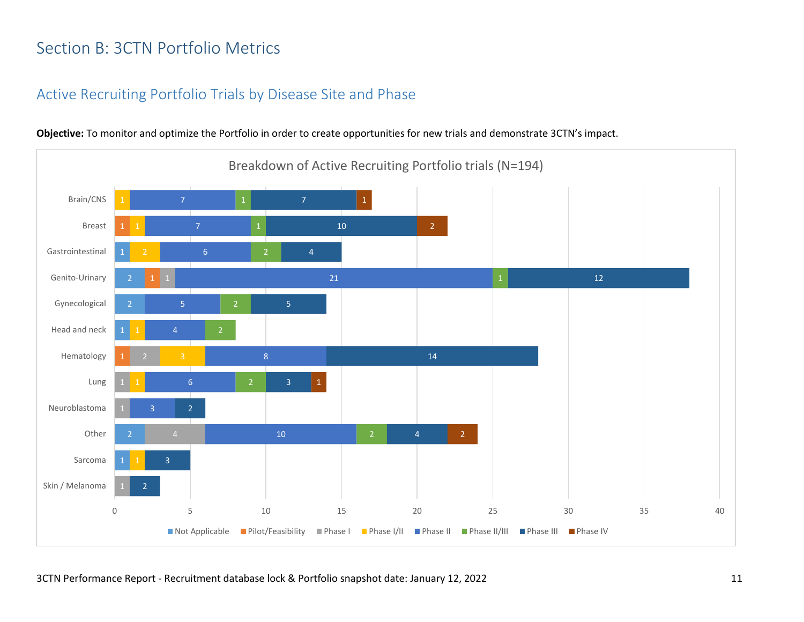# <span id="page-11-0"></span>Section B: 3CTN Portfolio Metrics

#### <span id="page-11-1"></span>Active Recruiting Portfolio Trials by Disease Site and Phase



**Objective:** To monitor and optimize the Portfolio in order to create opportunities for new trials and demonstrate 3CTN's impact.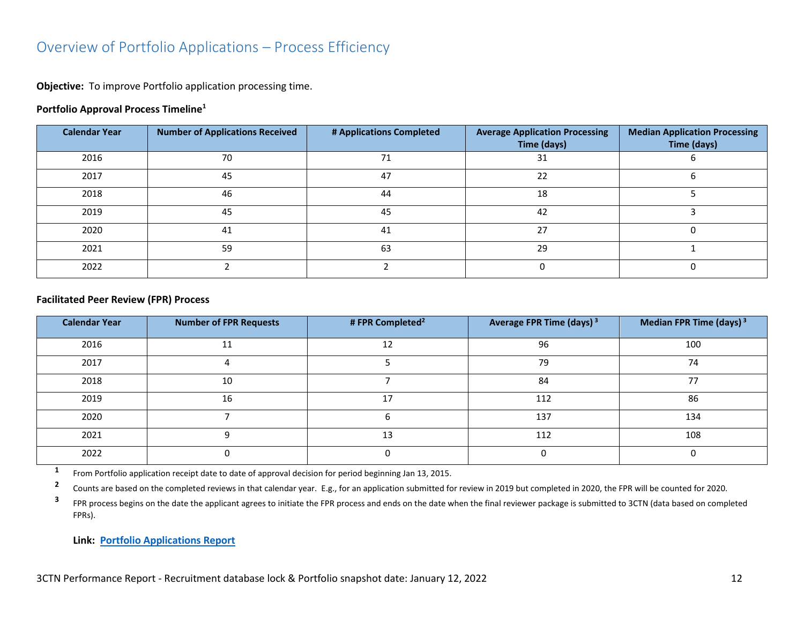#### <span id="page-12-0"></span>Overview of Portfolio Applications – Process Efficiency

**Objective:** To improve Portfolio application processing time.

#### **Portfolio Approval Process Timeline<sup>1</sup>**

| <b>Calendar Year</b> | <b>Number of Applications Received</b> | # Applications Completed | <b>Average Application Processing</b><br>Time (days) | <b>Median Application Processing</b><br>Time (days) |
|----------------------|----------------------------------------|--------------------------|------------------------------------------------------|-----------------------------------------------------|
| 2016                 | 70                                     | 71                       | 31                                                   |                                                     |
| 2017                 | 45                                     | 47                       | 22                                                   |                                                     |
| 2018                 | 46                                     | 44                       | 18                                                   |                                                     |
| 2019                 | 45                                     | 45                       | 42                                                   |                                                     |
| 2020                 | 41                                     | 41                       | 27                                                   |                                                     |
| 2021                 | 59                                     | 63                       | 29                                                   |                                                     |
| 2022                 |                                        |                          |                                                      |                                                     |

#### **Facilitated Peer Review (FPR) Process**

| <b>Calendar Year</b> | <b>Number of FPR Requests</b> | #FPR Completed <sup>2</sup> | Average FPR Time (days) <sup>3</sup> | Median FPR Time (days) <sup>3</sup> |
|----------------------|-------------------------------|-----------------------------|--------------------------------------|-------------------------------------|
| 2016                 | 11                            | 12                          | 96                                   | 100                                 |
| 2017                 |                               |                             | 79                                   | 74                                  |
| 2018                 | 10                            |                             | 84                                   | 77                                  |
| 2019                 | 16                            | 17                          | 112                                  | 86                                  |
| 2020                 |                               |                             | 137                                  | 134                                 |
| 2021                 | ດ                             | 13                          | 112                                  | 108                                 |
| 2022                 |                               |                             |                                      |                                     |

**1** From Portfolio application receipt date to date of approval decision for period beginning Jan 13, 2015.

**2** Counts are based on the completed reviews in that calendar year. E.g., for an application submitted for review in 2019 but completed in 2020, the FPR will be counted for 2020.

**3** FPR process begins on the date the applicant agrees to initiate the FPR process and ends on the date when the final reviewer package is submitted to 3CTN (data based on completed FPRs).

**Link: [Portfolio Applications Report](https://app.powerbi.com/view?r=eyJrIjoiNDkxODMzYTctYjhkZi00MjhkLWJiNzMtMjcyYmU2MmE4MjM5IiwidCI6IjlkZjk0OWY4LWE2ZWItNDE5ZC05Y2FhLTFmOGM4M2RiNjc0ZiJ9)**